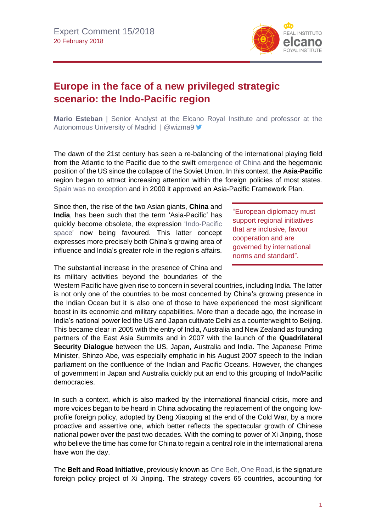

## **Europe in the face of a new privileged strategic scenario: the Indo-Pacific region**

**Mario Esteban** | Senior Analyst at the Elcano Royal Institute and professor at the Autonomous University of Madrid | @wizma9 ▼

The dawn of the 21st century has seen a re-balancing of the international playing field from the Atlantic to the Pacific due to the swift [emergence of China](http://www.realinstitutoelcano.org/wps/portal/rielcano_en/contenido?WCM_GLOBAL_CONTEXT=/elcano/elcano_in/zonas_in/ari21-2014-esteban-rise-of-china-asia-elcano-global-presence-index) and the hegemonic position of the US since the collapse of the Soviet Union. In this context, the **Asia-Pacific** region began to attract increasing attention within the foreign policies of most states. [Spain was no exception](http://www.realinstitutoelcano.org/wps/portal/rielcano_en/contenido?WCM_GLOBAL_CONTEXT=/elcano/elcano_in/zonas_in/ari61-2017-pachecopardo-spain-asia-harnessing-trade-soft-power-asia-pacific-century) and in 2000 it approved an Asia-Pacific Framework Plan.

Since then, the rise of the two Asian giants, **China** and **India**, has been such that the term 'Asia-Pacific' has quickly become obsolete, the expression ['Indo-Pacific](https://blog.realinstitutoelcano.org/despues-del-pacifico-el-indico/)  [space'](https://blog.realinstitutoelcano.org/despues-del-pacifico-el-indico/) now being favoured. This latter concept expresses more precisely both China's growing area of influence and India's greater role in the region's affairs.

The substantial increase in the presence of China and its military activities beyond the boundaries of the

"European diplomacy must support regional initiatives that are inclusive, favour cooperation and are governed by international norms and standard".

Western Pacific have given rise to concern in several countries, including India. The latter is not only one of the countries to be most concerned by China's growing presence in the Indian Ocean but it is also one of those to have experienced the most significant boost in its economic and military capabilities. More than a decade ago, the increase in India's national power led the US and Japan cultivate Delhi as a counterweight to Beijing. This became clear in 2005 with the entry of India, Australia and New Zealand as founding partners of the East Asia Summits and in 2007 with the launch of the **Quadrilateral Security Dialogue** between the US, Japan, Australia and India. The Japanese Prime Minister, Shinzo Abe, was especially emphatic in his August 2007 speech to the Indian parliament on the confluence of the Indian and Pacific Oceans. However, the changes of government in Japan and Australia quickly put an end to this grouping of Indo/Pacific democracies.

In such a context, which is also marked by the international financial crisis, more and more voices began to be heard in China advocating the replacement of the ongoing lowprofile foreign policy, adopted by Deng Xiaoping at the end of the Cold War, by a more proactive and assertive one, which better reflects the spectacular growth of Chinese national power over the past two decades. With the coming to power of Xi Jinping, those who believe the time has come for China to regain a central role in the international arena have won the day.

The **Belt and Road Initiative**, previously known as [One Belt, One Road,](https://blog.realinstitutoelcano.org/en?s=one+belt+one+road) is the signature foreign policy project of Xi Jinping. The strategy covers 65 countries, accounting for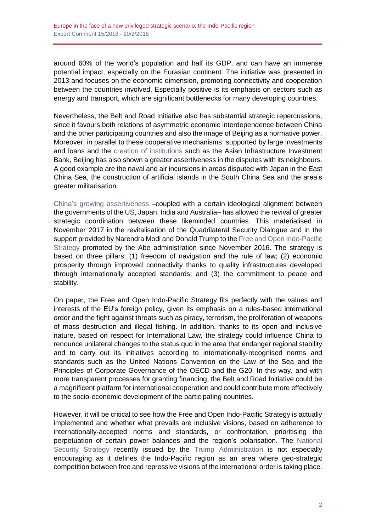around 60% of the world's population and half its GDP, and can have an immense potential impact, especially on the Eurasian continent. The initiative was presented in 2013 and focuses on the economic dimension, promoting connectivity and cooperation between the countries involved. Especially positive is its emphasis on sectors such as energy and transport, which are significant bottlenecks for many developing countries.

Nevertheless, the Belt and Road Initiative also has substantial strategic repercussions, since it favours both relations of asymmetric economic interdependence between China and the other participating countries and also the image of Beijing as a normative power. Moreover, in parallel to these cooperative mechanisms, supported by large investments and loans and the [creation of institutions](http://www.realinstitutoelcano.org/wps/portal/rielcano_en/contenido?WCM_GLOBAL_CONTEXT=/elcano/elcano_in/zonas_in/ari23-2015-esteban-oteroiglesias-what-are-prospects-for-new-chinese-led-silk-road-and-asian-infrastructure-investment-bank) such as the Asian Infrastructure Investment Bank, Beijing has also shown a greater assertiveness in the disputes with its neighbours. A good example are the naval and air incursions in areas disputed with Japan in the East China Sea, the construction of artificial islands in the South China Sea and the area's greater militarisation.

[China's growing assertiveness](http://www.realinstitutoelcano.org/wps/portal/rielcano_en/contenido?WCM_GLOBAL_CONTEXT=/elcano/elcano_in/zonas_in/ARI87-2017-Esteban-Foreign-policy-Xi-Jinping-19th-Congress-China-central-role-world-stage) –coupled with a certain ideological alignment between the governments of the US, Japan, India and Australia– has allowed the revival of greater strategic coordination between these likeminded countries. This materialised in November 2017 in the revitalisation of the Quadrilateral Security Dialogue and in the support provided by Narendra Modi and Donald Trump to the Free and Open Indo-Pacific [Strategy](http://www.sydney.au.emb-japan.go.jp/document/english/Indo-PacificStrategy.PDF) promoted by the Abe administration since November 2016. The strategy is based on three pillars: (1) freedom of navigation and the rule of law; (2) economic prosperity through improved connectivity thanks to quality infrastructures developed through internationally accepted standards; and (3) the commitment to peace and stability.

On paper, the Free and Open Indo-Pacific Strategy fits perfectly with the values and interests of the EU's foreign policy, given its emphasis on a rules-based international order and the fight against threats such as piracy, terrorism, the proliferation of weapons of mass destruction and illegal fishing. In addition, thanks to its open and inclusive nature, based on respect for International Law, the strategy could influence China to renounce unilateral changes to the status quo in the area that endanger regional stability and to carry out its initiatives according to internationally-recognised norms and standards such as the United Nations Convention on the Law of the Sea and the Principles of Corporate Governance of the OECD and the G20. In this way, and with more transparent processes for granting financing, the Belt and Road Initiative could be a magnificent platform for international cooperation and could contribute more effectively to the socio-economic development of the participating countries.

However, it will be critical to see how the Free and Open Indo-Pacific Strategy is actually implemented and whether what prevails are inclusive visions, based on adherence to internationally-accepted norms and standards, or confrontation, prioritising the perpetuation of certain power balances and the region's polarisation. The [National](https://www.whitehouse.gov/wp-content/uploads/2017/12/NSS-Final-12-18-2017-0905.pdf)  [Security Strategy](https://www.whitehouse.gov/wp-content/uploads/2017/12/NSS-Final-12-18-2017-0905.pdf) recently issued by the [Trump Administration](https://especiales.realinstitutoelcano.org/eeuu/) is not especially encouraging as it defines the Indo-Pacific region as an area where geo-strategic competition between free and repressive visions of the international order is taking place.